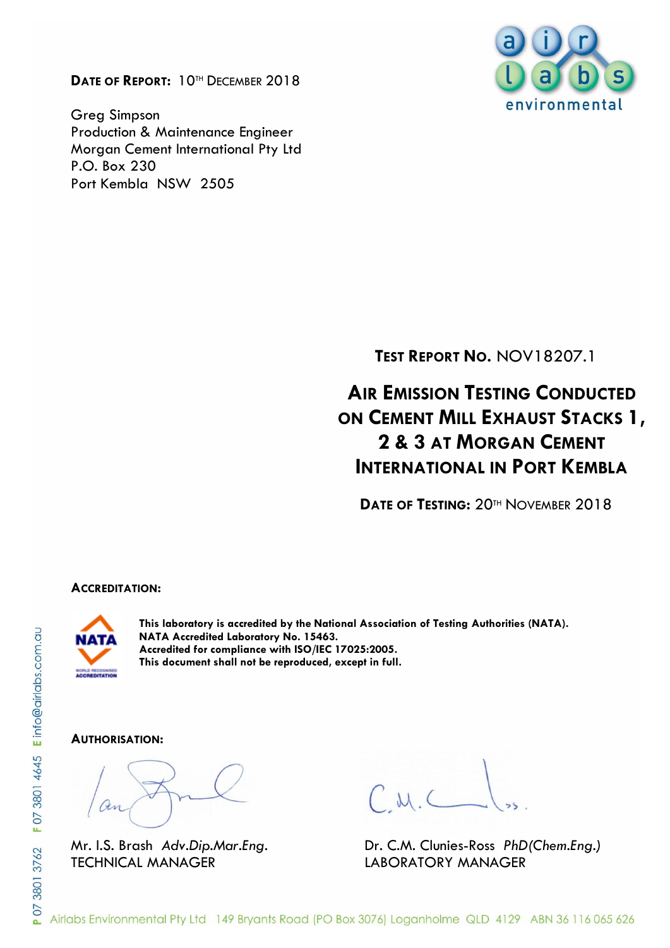**DATE OF REPORT:** 10TH DECEMBER 2018

Greg Simpson Production & Maintenance Engineer Morgan Cement International Pty Ltd P.O. Box 230 Port Kembla NSW 2505



**TEST REPORT NO.** NOV18207.1

**AIR EMISSION TESTING CONDUCTED ON CEMENT MILL EXHAUST STACKS 1, 2 & 3 AT MORGAN CEMENT INTERNATIONAL IN PORT KEMBLA**

**DATE OF TESTING:** 20TH NOVEMBER 2018

#### **ACCREDITATION:**



**This laboratory is accredited by the National Association of Testing Authorities (NATA). NATA Accredited Laboratory No. 15463. Accredited for compliance with ISO/IEC 17025:2005. This document shall not be reproduced, except in full.**

#### **AUTHORISATION:**

TECHNICAL MANAGER LABORATORY MANAGER

Mr. I.S. Brash *Adv.Dip.Mar.Eng.* Dr. C.M. Clunies-Ross *PhD(Chem.Eng.)*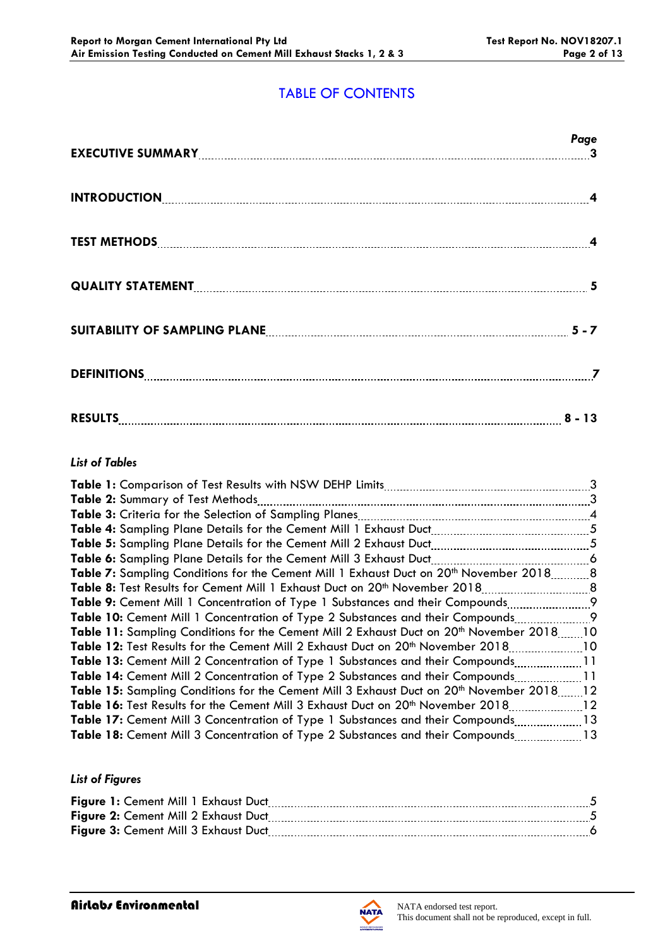# TABLE OF CONTENTS

|                                                                     | Page |
|---------------------------------------------------------------------|------|
| INTRODUCTION 4                                                      |      |
|                                                                     |      |
|                                                                     |      |
| SUITABILITY OF SAMPLING PLANE <b>[19] THE READER ASSESSED</b> 5 - 7 |      |
|                                                                     |      |
| RESULTS 2 - 13                                                      |      |

## *List of Tables*

|                                                                                                      | 3               |
|------------------------------------------------------------------------------------------------------|-----------------|
| <b>Table 2:</b> Summary of Test Methods                                                              | 3               |
|                                                                                                      |                 |
|                                                                                                      | 5               |
|                                                                                                      |                 |
| Table 6: Sampling Plane Details for the Cement Mill 3 Exhaust Duct                                   | $\sim$ 6        |
| Table 7: Sampling Conditions for the Cement Mill 1 Exhaust Duct on 20 <sup>th</sup> November 20188   |                 |
|                                                                                                      |                 |
|                                                                                                      |                 |
| <b>Table 10:</b> Cement Mill 1 Concentration of Type 2 Substances and their Compounds                | . 9             |
| Table 11: Sampling Conditions for the Cement Mill 2 Exhaust Duct on 20 <sup>th</sup> November 2018   | $\overline{10}$ |
| Table 12: Test Results for the Cement Mill 2 Exhaust Duct on 20 <sup>th</sup> November 2018          | 10              |
| <b>Table 13:</b> Cement Mill 2 Concentration of Type 1 Substances and their Compounds11              |                 |
| <b>Table 14:</b> Cement Mill 2 Concentration of Type 2 Substances and their Compounds                | . 11            |
| Table 15: Sampling Conditions for the Cement Mill 3 Exhaust Duct on 20 <sup>th</sup> November 201812 |                 |
| Table 16: Test Results for the Cement Mill 3 Exhaust Duct on 20 <sup>th</sup> November 2018          | 12              |
| Table 17: Cement Mill 3 Concentration of Type 1 Substances and their Compounds13                     |                 |
| Table 18: Cement Mill 3 Concentration of Type 2 Substances and their Compounds13                     |                 |
|                                                                                                      |                 |

## *List of Figures*

| Figure 1: Cement Mill 1 Exhaust Duct |  |
|--------------------------------------|--|
| Figure 2: Cement Mill 2 Exhaust Duct |  |
| Figure 3: Cement Mill 3 Exhaust Duct |  |

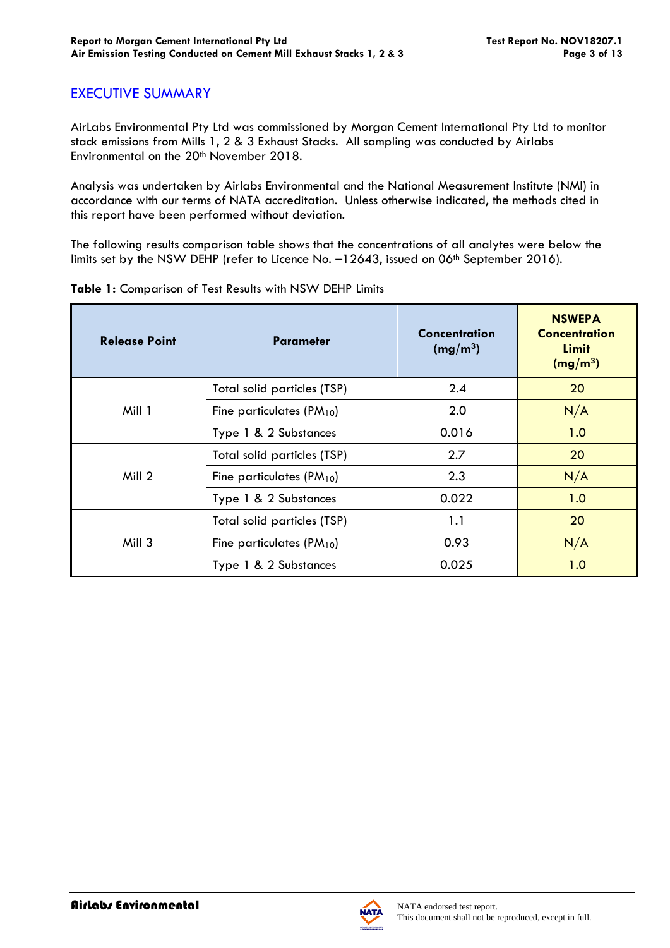## EXECUTIVE SUMMARY

AirLabs Environmental Pty Ltd was commissioned by Morgan Cement International Pty Ltd to monitor stack emissions from Mills 1, 2 & 3 Exhaust Stacks. All sampling was conducted by Airlabs Environmental on the 20<sup>th</sup> November 2018.

Analysis was undertaken by Airlabs Environmental and the National Measurement Institute (NMI) in accordance with our terms of NATA accreditation. Unless otherwise indicated, the methods cited in this report have been performed without deviation.

The following results comparison table shows that the concentrations of all analytes were below the limits set by the NSW DEHP (refer to Licence No. -12643, issued on 06<sup>th</sup> September 2016).

| <b>Release Point</b> | <b>Parameter</b>              | Concentration<br>(mg/m <sup>3</sup> ) | <b>NSWEPA</b><br><b>Concentration</b><br>Limit<br>(mg/m <sup>3</sup> ) |
|----------------------|-------------------------------|---------------------------------------|------------------------------------------------------------------------|
|                      | Total solid particles (TSP)   | 2.4                                   | 20                                                                     |
| Mill 1               | Fine particulates $(PM_{10})$ | 2.0                                   | N/A                                                                    |
|                      | Type 1 & 2 Substances         | 0.016                                 | 1.0                                                                    |
| Mill 2               | Total solid particles (TSP)   | 2.7                                   | 20                                                                     |
|                      | Fine particulates $(PM_{10})$ | 2.3                                   | N/A                                                                    |
|                      | Type 1 & 2 Substances         | 0.022                                 | 1.0                                                                    |
|                      | Total solid particles (TSP)   | 1.1                                   | 20                                                                     |
| Mill 3               | Fine particulates $(PM_{10})$ | 0.93                                  | N/A                                                                    |
|                      | Type 1 & 2 Substances         | 0.025                                 | 1.0                                                                    |

### **Table 1:** Comparison of Test Results with NSW DEHP Limits

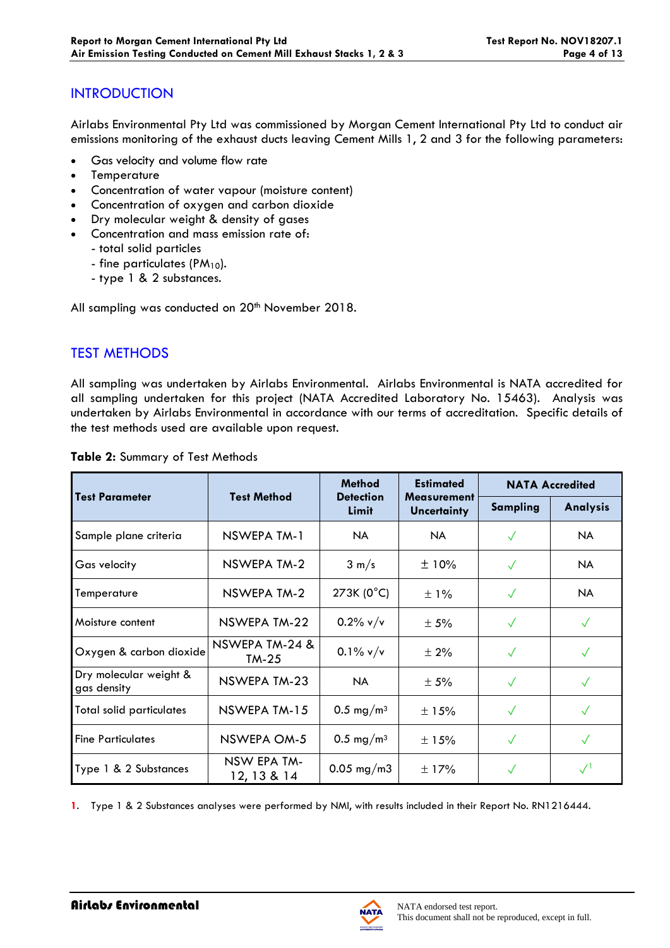# **INTRODUCTION**

Airlabs Environmental Pty Ltd was commissioned by Morgan Cement International Pty Ltd to conduct air emissions monitoring of the exhaust ducts leaving Cement Mills 1, 2 and 3 for the following parameters:

- Gas velocity and volume flow rate
- **Temperature**
- Concentration of water vapour (moisture content)
- Concentration of oxygen and carbon dioxide
- Dry molecular weight & density of gases
- Concentration and mass emission rate of:
	- total solid particles
	- fine particulates (PM<sub>10</sub>).
	- type 1 & 2 substances.

All sampling was conducted on 20<sup>th</sup> November 2018.

# TEST METHODS

All sampling was undertaken by Airlabs Environmental. Airlabs Environmental is NATA accredited for all sampling undertaken for this project (NATA Accredited Laboratory No. 15463). Analysis was undertaken by Airlabs Environmental in accordance with our terms of accreditation. Specific details of the test methods used are available upon request.

|                                       |                            | <b>Method</b>         | <b>Estimated</b>                                             | <b>NATA Accredited</b> |              |  |
|---------------------------------------|----------------------------|-----------------------|--------------------------------------------------------------|------------------------|--------------|--|
| <b>Test Parameter</b>                 | <b>Test Method</b>         | Limit                 | <b>Detection</b><br><b>Measurement</b><br><b>Uncertainty</b> |                        | Analysis     |  |
| Sample plane criteria                 | NSWEPA TM-1                | NA.                   | <b>NA</b>                                                    | $\checkmark$           | <b>NA</b>    |  |
| Gas velocity                          | NSWEPA TM-2                | $3 \text{ m/s}$       | ±10%                                                         | $\checkmark$           | NA.          |  |
| Temperature                           | NSWEPA TM-2                | 273K (0°C)            | ±1%                                                          | $\checkmark$           | <b>NA</b>    |  |
| Moisture content                      | NSWEPA TM-22               | $0.2\%$ v/v           | $\pm$ 5%                                                     | $\sqrt{}$              | $\checkmark$ |  |
| Oxygen & carbon dioxide               | NSWEPA TM-24 &<br>$TM-25$  | $0.1\%$ v/v           | $\pm 2\%$                                                    | $\sqrt{}$              | $\checkmark$ |  |
| Dry molecular weight &<br>gas density | NSWEPA TM-23               | NA.                   | ± 5%                                                         | $\checkmark$           | $\checkmark$ |  |
| Total solid particulates              | NSWEPA TM-15               | 0.5 mg/m <sup>3</sup> | $\pm$ 15%                                                    | $\checkmark$           | $\sqrt{}$    |  |
| <b>Fine Particulates</b>              | NSWEPA OM-5                | 0.5 mg/m <sup>3</sup> | ±15%                                                         | $\checkmark$           | $\sqrt{}$    |  |
| Type 1 & 2 Substances                 | NSW EPA TM-<br>12, 13 & 14 | $0.05$ mg/m3          | $\pm$ 17%                                                    |                        |              |  |

#### **Table 2:** Summary of Test Methods

**1**. Type 1 & 2 Substances analyses were performed by NMI, with results included in their Report No. RN1216444.

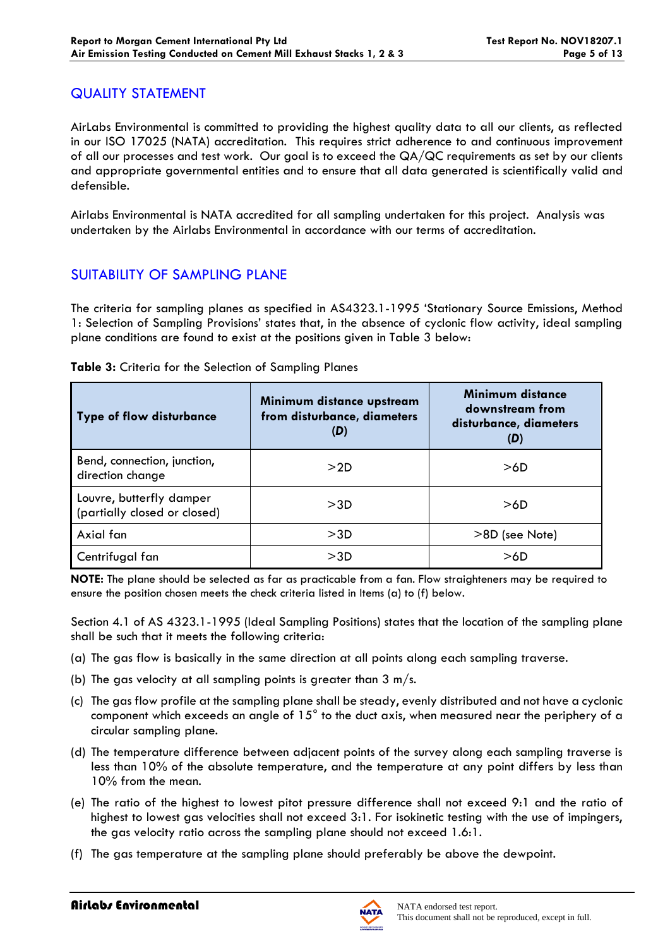## QUALITY STATEMENT

AirLabs Environmental is committed to providing the highest quality data to all our clients, as reflected in our ISO 17025 (NATA) accreditation. This requires strict adherence to and continuous improvement of all our processes and test work. Our goal is to exceed the QA/QC requirements as set by our clients and appropriate governmental entities and to ensure that all data generated is scientifically valid and defensible.

Airlabs Environmental is NATA accredited for all sampling undertaken for this project. Analysis was undertaken by the Airlabs Environmental in accordance with our terms of accreditation.

# SUITABILITY OF SAMPLING PLANE

The criteria for sampling planes as specified in AS4323.1-1995 'Stationary Source Emissions, Method 1: Selection of Sampling Provisions' states that, in the absence of cyclonic flow activity, ideal sampling plane conditions are found to exist at the positions given in Table 3 below:

| <b>Type of flow disturbance</b>                          | Minimum distance upstream<br>from disturbance, diameters<br>(D) | Minimum distance<br>downstream from<br>disturbance, diameters<br>(D) |  |  |
|----------------------------------------------------------|-----------------------------------------------------------------|----------------------------------------------------------------------|--|--|
| Bend, connection, junction,<br>direction change          | >2D                                                             | >6D                                                                  |  |  |
| Louvre, butterfly damper<br>(partially closed or closed) | >3D                                                             | >6D                                                                  |  |  |
| Axial fan                                                | >3D                                                             | >8D (see Note)                                                       |  |  |
| Centrifugal fan                                          | >3D                                                             | >6D                                                                  |  |  |

**Table 3:** Criteria for the Selection of Sampling Planes

**NOTE:** The plane should be selected as far as practicable from a fan. Flow straighteners may be required to ensure the position chosen meets the check criteria listed in Items (a) to (f) below.

Section 4.1 of AS 4323.1-1995 (Ideal Sampling Positions) states that the location of the sampling plane shall be such that it meets the following criteria:

- (a) The gas flow is basically in the same direction at all points along each sampling traverse.
- (b) The gas velocity at all sampling points is greater than  $3 \text{ m/s}$ .
- (c) The gas flow profile at the sampling plane shall be steady, evenly distributed and not have a cyclonic component which exceeds an angle of 15° to the duct axis, when measured near the periphery of a circular sampling plane.
- (d) The temperature difference between adjacent points of the survey along each sampling traverse is less than 10% of the absolute temperature, and the temperature at any point differs by less than 10% from the mean.
- (e) The ratio of the highest to lowest pitot pressure difference shall not exceed 9:1 and the ratio of highest to lowest gas velocities shall not exceed 3:1. For isokinetic testing with the use of impingers, the gas velocity ratio across the sampling plane should not exceed 1.6:1.
- (f) The gas temperature at the sampling plane should preferably be above the dewpoint.

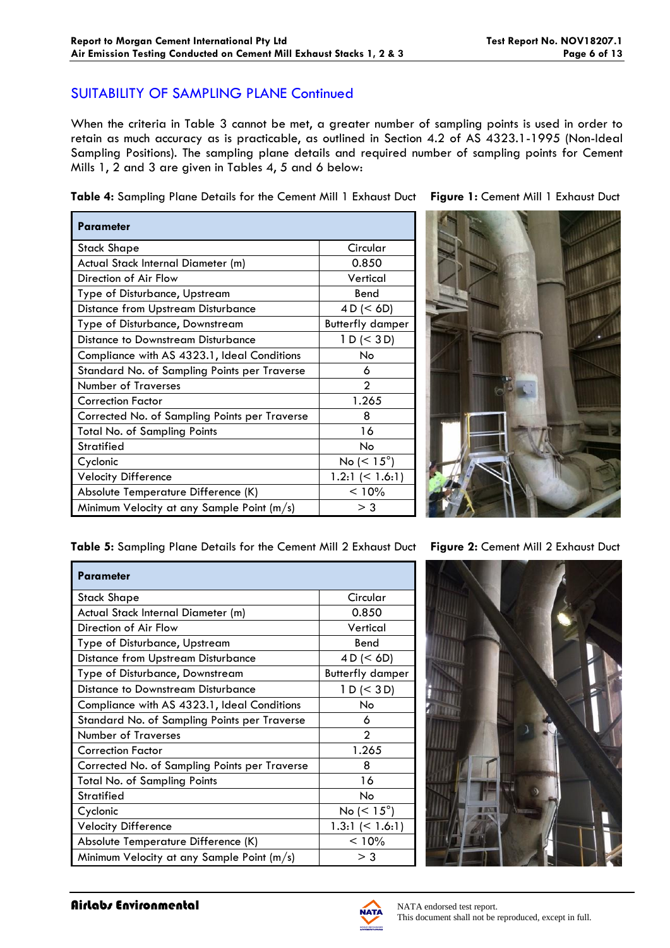## SUITABILITY OF SAMPLING PLANE Continued

When the criteria in Table 3 cannot be met, a greater number of sampling points is used in order to retain as much accuracy as is practicable, as outlined in Section 4.2 of AS 4323.1-1995 (Non-Ideal Sampling Positions). The sampling plane details and required number of sampling points for Cement Mills 1, 2 and 3 are given in Tables 4, 5 and 6 below:

**Table 4:** Sampling Plane Details for the Cement Mill 1 Exhaust Duct **Figure 1:** Cement Mill 1 Exhaust Duct

| Parameter                                     |                          |
|-----------------------------------------------|--------------------------|
| Stack Shape                                   | Circular                 |
| Actual Stack Internal Diameter (m)            | 0.850                    |
| Direction of Air Flow                         | Vertical                 |
| Type of Disturbance, Upstream                 | Bend                     |
| <b>Distance from Upstream Disturbance</b>     | 4 D (< 6D)               |
| Type of Disturbance, Downstream               | <b>Butterfly damper</b>  |
| Distance to Downstream Disturbance            | 1 D (< 3 D)              |
| Compliance with AS 4323.1, Ideal Conditions   | No                       |
| Standard No. of Sampling Points per Traverse  | 6                        |
| <b>Number of Traverses</b>                    | $\mathfrak{p}$           |
| <b>Correction Factor</b>                      | 1.265                    |
| Corrected No. of Sampling Points per Traverse | 8                        |
| Total No. of Sampling Points                  | 16                       |
| Stratified                                    | No                       |
| Cyclonic                                      | No ( $\leq 15^{\circ}$ ) |
| <b>Velocity Difference</b>                    | 1.2:1 $(< 1.6:1)$        |
| Absolute Temperature Difference (K)           | < 10%                    |
| Minimum Velocity at any Sample Point (m/s)    | > 3                      |

**Table 5:** Sampling Plane Details for the Cement Mill 2 Exhaust Duct **Figure 2:** Cement Mill 2 Exhaust Duct

| <b>Parameter</b>                              |                         |  |  |
|-----------------------------------------------|-------------------------|--|--|
| <b>Stack Shape</b>                            | Circular                |  |  |
| Actual Stack Internal Diameter (m)            | 0.850                   |  |  |
| Direction of Air Flow                         | Vertical                |  |  |
| Type of Disturbance, Upstream                 | Bend                    |  |  |
| <b>Distance from Upstream Disturbance</b>     | 4 D (< 6D)              |  |  |
| Type of Disturbance, Downstream               | <b>Butterfly damper</b> |  |  |
| Distance to Downstream Disturbance            | 1 D (< 3 D)             |  |  |
| Compliance with AS 4323.1, Ideal Conditions   | No.                     |  |  |
| Standard No. of Sampling Points per Traverse  | 6                       |  |  |
| <b>Number of Traverses</b>                    | $\mathfrak{D}$          |  |  |
| <b>Correction Factor</b>                      | 1.265                   |  |  |
| Corrected No. of Sampling Points per Traverse | 8                       |  |  |
| <b>Total No. of Sampling Points</b>           | 16                      |  |  |
| <b>Stratified</b>                             | No                      |  |  |
| Cyclonic                                      | No $(< 15^{\circ})$     |  |  |
| <b>Velocity Difference</b>                    | 1.3:1 $($ 1.6:1)        |  |  |
| Absolute Temperature Difference (K)           | < 10%                   |  |  |
| Minimum Velocity at any Sample Point (m/s)    | $>$ 3                   |  |  |





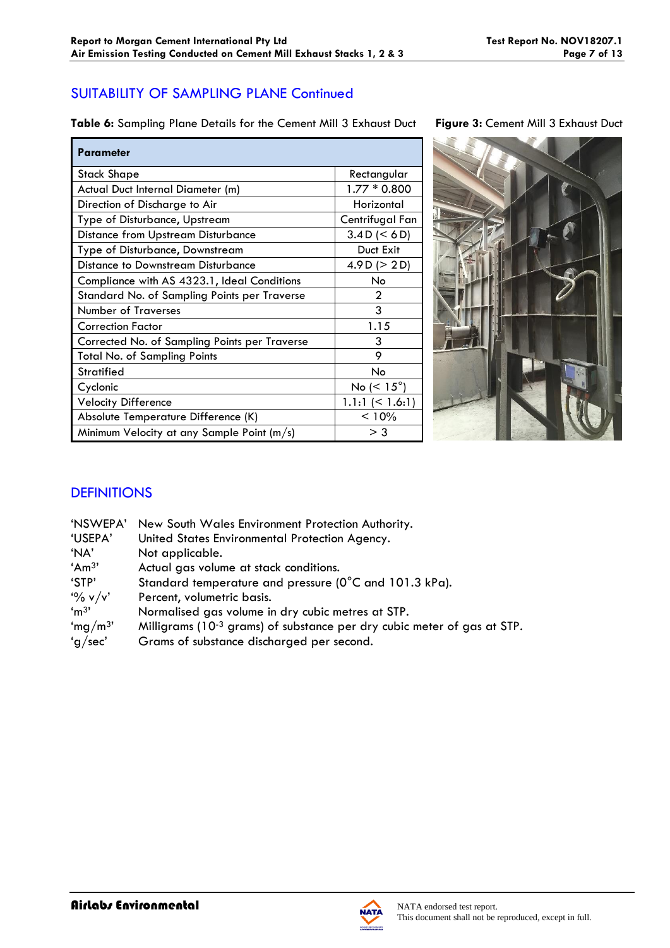# SUITABILITY OF SAMPLING PLANE Continued

**Table 6:** Sampling Plane Details for the Cement Mill 3 Exhaust Duct **Figure 3:** Cement Mill 3 Exhaust Duct

| <b>Parameter</b>                              |                       |
|-----------------------------------------------|-----------------------|
| Stack Shape                                   | Rectangular           |
| Actual Duct Internal Diameter (m)             | $1.77 * 0.800$        |
| Direction of Discharge to Air                 | Horizontal            |
| Type of Disturbance, Upstream                 | Centrifugal Fan       |
| <b>Distance from Upstream Disturbance</b>     | 3.4 D (< 6 D)         |
| Type of Disturbance, Downstream               | Duct Exit             |
| Distance to Downstream Disturbance            | 4.9 D ( $>$ 2 D)      |
| Compliance with AS 4323.1, Ideal Conditions   | No.                   |
| Standard No. of Sampling Points per Traverse  | $\overline{2}$        |
| <b>Number of Traverses</b>                    | 3                     |
| <b>Correction Factor</b>                      | 1.15                  |
| Corrected No. of Sampling Points per Traverse | 3                     |
| <b>Total No. of Sampling Points</b>           | 9                     |
| <b>Stratified</b>                             | No                    |
| Cyclonic                                      | No ( $< 15^{\circ}$ ) |
| <b>Velocity Difference</b>                    | $1.1:1 \le 1.6:1$     |
| Absolute Temperature Difference (K)           | < 10%                 |
| Minimum Velocity at any Sample Point (m/s)    | $>$ 3                 |



# **DEFINITIONS**

| 'NSWEPA'            | New South Wales Environment Protection Authority.                                   |
|---------------------|-------------------------------------------------------------------------------------|
| 'USEPA'             | United States Environmental Protection Agency.                                      |
| 'NA'                | Not applicable.                                                                     |
| 'Am <sup>3</sup> '  | Actual gas volume at stack conditions.                                              |
| 'STP'               | Standard temperature and pressure (0°C and 101.3 kPa).                              |
| $\frac{10}{6}$ v/v' | Percent, volumetric basis.                                                          |
| 'm <sup>3</sup>     | Normalised gas volume in dry cubic metres at STP.                                   |
| 'mg/m <sup>3'</sup> | Milligrams (10 <sup>-3</sup> grams) of substance per dry cubic meter of gas at STP. |
| 'g/sec'             | Grams of substance discharged per second.                                           |
|                     |                                                                                     |

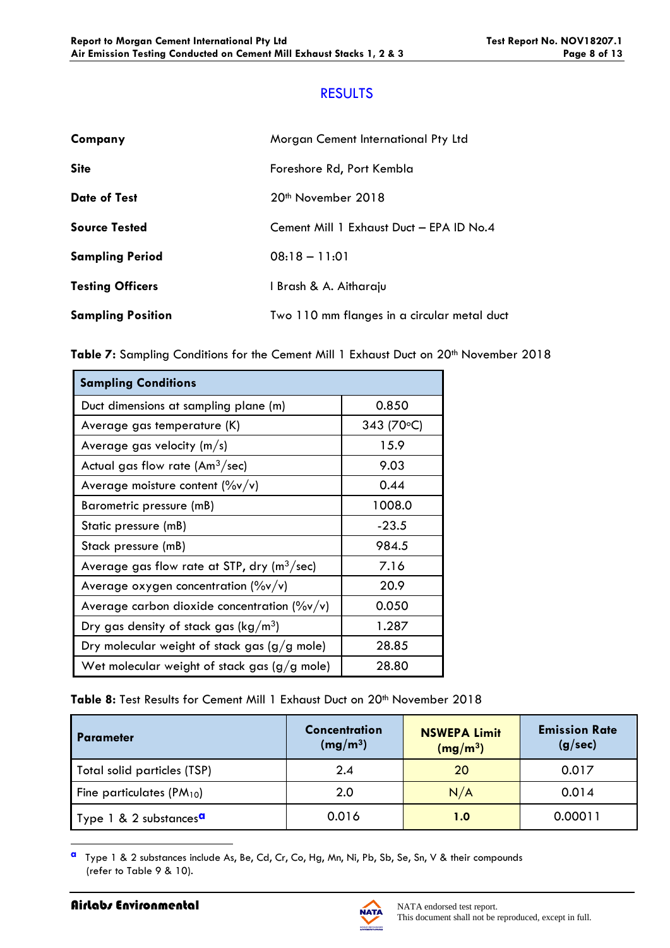## RESULTS

| Company                  | Morgan Cement International Pty Ltd         |
|--------------------------|---------------------------------------------|
| <b>Site</b>              | Foreshore Rd, Port Kembla                   |
| <b>Date of Test</b>      | 20 <sup>th</sup> November 2018              |
| <b>Source Tested</b>     | Cement Mill 1 Exhaust Duct - EPA ID No.4    |
| <b>Sampling Period</b>   | $08:18 - 11:01$                             |
| <b>Testing Officers</b>  | I Brash & A. Aitharaju                      |
| <b>Sampling Position</b> | Two 110 mm flanges in a circular metal duct |

|  |  | Table 7: Sampling Conditions for the Cement Mill 1 Exhaust Duct on 20 <sup>th</sup> November 2018 |  |  |  |  |  |  |  |  |
|--|--|---------------------------------------------------------------------------------------------------|--|--|--|--|--|--|--|--|
|--|--|---------------------------------------------------------------------------------------------------|--|--|--|--|--|--|--|--|

| <b>Sampling Conditions</b>                                |             |
|-----------------------------------------------------------|-------------|
| Duct dimensions at sampling plane (m)                     | 0.850       |
| Average gas temperature (K)                               | 343 (70 °C) |
| Average gas velocity $(m/s)$                              | 15.9        |
| Actual gas flow rate (Am $3$ /sec)                        | 9.03        |
| Average moisture content $(\%v/v)$                        | 0.44        |
| Barometric pressure (mB)                                  | 1008.0      |
| Static pressure (mB)                                      | $-23.5$     |
| Stack pressure (mB)                                       | 984.5       |
| Average gas flow rate at STP, dry ( $m^3$ /sec)           | 7.16        |
| Average oxygen concentration $(\%v/v)$                    | 20.9        |
| Average carbon dioxide concentration ( $\frac{9}{9}$ v/v) | 0.050       |
| Dry gas density of stack gas ( $\text{kg}/\text{m}^3$ )   | 1.287       |
| Dry molecular weight of stack gas $(g/g$ mole)            | 28.85       |
| Wet molecular weight of stack gas $(g/g \text{ mole})$    | 28.80       |

Table 8: Test Results for Cement Mill 1 Exhaust Duct on 20<sup>th</sup> November 2018

| <b>Parameter</b>                   | Concentration<br>(mg/m <sup>3</sup> ) | <b>NSWEPA Limit</b><br>(mg/m <sup>3</sup> ) | <b>Emission Rate</b><br>(g/sec) |
|------------------------------------|---------------------------------------|---------------------------------------------|---------------------------------|
| Total solid particles (TSP)        | 2.4                                   | 20                                          | 0.017                           |
| Fine particulates $(PM_{10})$      | 2.0                                   | N/A                                         | 0.014                           |
| Type 1 & 2 substances <sup>a</sup> | 0.016                                 | 1.0                                         | 0.00011                         |

**a** Type 1 & 2 substances include As, Be, Cd, Cr, Co, Hg, Mn, Ni, Pb, Sb, Se, Sn, V & their compounds (refer to Table 9 & 10).

1

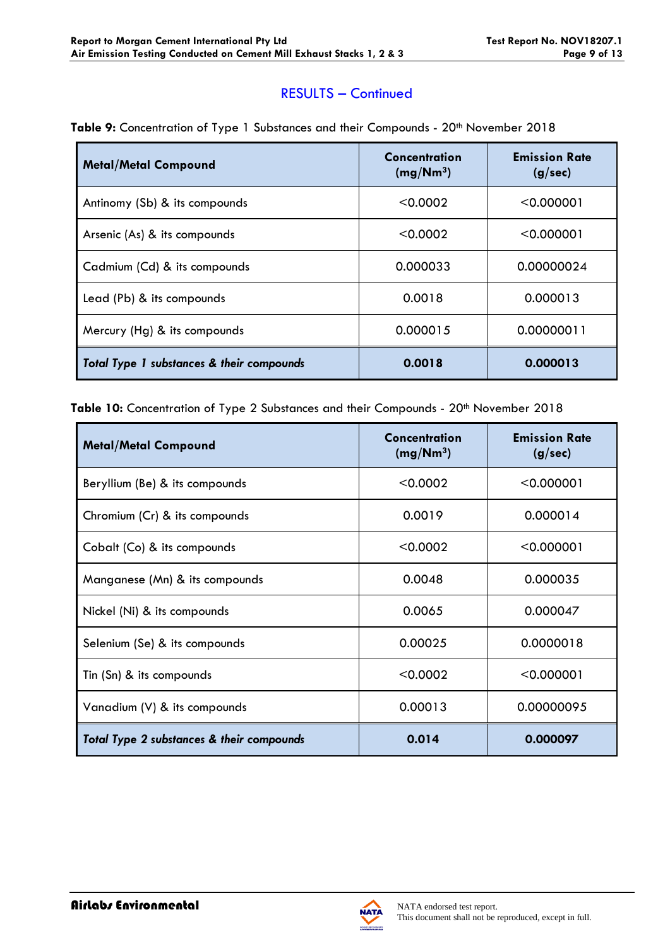## RESULTS – Continued

| <b>Table 9:</b> Concentration of Type 1 Substances and their Compounds - 20 <sup>th</sup> November 2018 |  |
|---------------------------------------------------------------------------------------------------------|--|
|---------------------------------------------------------------------------------------------------------|--|

| <b>Metal/Metal Compound</b>                          | Concentration<br>(mg/Nm <sup>3</sup> ) | <b>Emission Rate</b><br>(g/sec) |
|------------------------------------------------------|----------------------------------------|---------------------------------|
| Antinomy (Sb) & its compounds                        | < 0.0002                               | < 0.000001                      |
| Arsenic (As) & its compounds                         | < 0.0002                               | < 0.000001                      |
| Cadmium (Cd) & its compounds                         | 0.000033                               | 0.00000024                      |
| Lead (Pb) & its compounds                            | 0.0018                                 | 0.000013                        |
| Mercury (Hg) & its compounds                         | 0.000015                               | 0.00000011                      |
| <b>Total Type 1 substances &amp; their compounds</b> | 0.0018                                 | 0.000013                        |

Table 10: Concentration of Type 2 Substances and their Compounds - 20<sup>th</sup> November 2018

| <b>Metal/Metal Compound</b>               | Concentration<br>(mg/Nm <sup>3</sup> ) | <b>Emission Rate</b><br>(g/sec) |
|-------------------------------------------|----------------------------------------|---------------------------------|
| Beryllium (Be) & its compounds            | < 0.0002                               | < 0.000001                      |
| Chromium (Cr) & its compounds             | 0.0019                                 | 0.000014                        |
| Cobalt (Co) & its compounds               | < 0.0002                               | < 0.000001                      |
| Manganese (Mn) & its compounds            | 0.0048                                 | 0.000035                        |
| Nickel (Ni) & its compounds               | 0.0065                                 | 0.000047                        |
| Selenium (Se) & its compounds             | 0.00025                                | 0.0000018                       |
| Tin (Sn) & its compounds                  | < 0.0002                               | < 0.000001                      |
| Vanadium (V) & its compounds              | 0.00013                                | 0.00000095                      |
| Total Type 2 substances & their compounds | 0.014                                  | 0.000097                        |

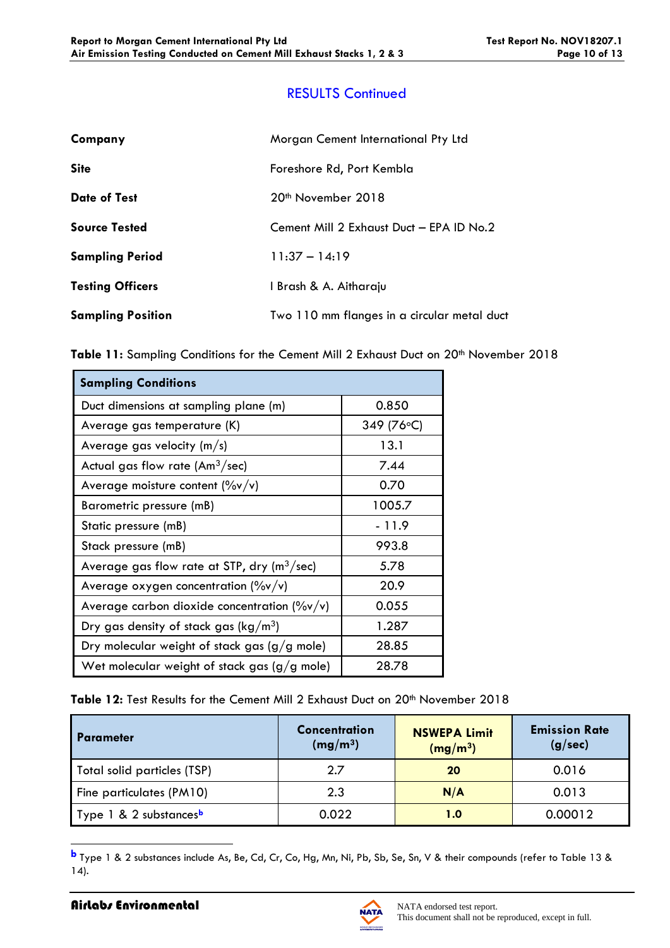# RESULTS Continued

| Company                  | Morgan Cement International Pty Ltd         |
|--------------------------|---------------------------------------------|
| <b>Site</b>              | Foreshore Rd, Port Kembla                   |
| <b>Date of Test</b>      | 20 <sup>th</sup> November 2018              |
| <b>Source Tested</b>     | Cement Mill 2 Exhaust Duct - EPA ID No.2    |
| <b>Sampling Period</b>   | $11:37 - 14:19$                             |
| <b>Testing Officers</b>  | I Brash & A. Aitharaju                      |
| <b>Sampling Position</b> | Two 110 mm flanges in a circular metal duct |

| <b>Sampling Conditions</b>                                          |            |
|---------------------------------------------------------------------|------------|
| Duct dimensions at sampling plane (m)                               | 0.850      |
| Average gas temperature (K)                                         | 349 (76°C) |
| Average gas velocity $(m/s)$                                        | 13.1       |
| Actual gas flow rate (Am $3$ /sec)                                  | 7.44       |
| Average moisture content $(\frac{6}{v}v/v)$                         | 0.70       |
| Barometric pressure (mB)                                            | 1005.7     |
| Static pressure (mB)                                                | - 11.9     |
| Stack pressure (mB)                                                 | 993.8      |
| Average gas flow rate at STP, $\frac{dy}{dx}$ (m <sup>3</sup> /sec) | 5.78       |
| Average oxygen concentration $(\%v/v)$                              | 20.9       |
| Average carbon dioxide concentration ( $\frac{9}{9}$ v/v)           | 0.055      |
| Dry gas density of stack gas ( $\text{kg}/\text{m}^3$ )             | 1.287      |
| Dry molecular weight of stack gas $(g/g$ mole)                      | 28.85      |
| Wet molecular weight of stack gas $(g/g \text{ mole})$              | 28.78      |

#### Table 12: Test Results for the Cement Mill 2 Exhaust Duct on 20<sup>th</sup> November 2018

| l Parameter                        | <b>Concentration</b><br>(mg/m <sup>3</sup> ) | <b>NSWEPA Limit</b><br>(mg/m <sup>3</sup> ) | <b>Emission Rate</b><br>(g/sec) |
|------------------------------------|----------------------------------------------|---------------------------------------------|---------------------------------|
| Total solid particles (TSP)        | 2.7                                          | 20                                          | 0.016                           |
| Fine particulates (PM10)           | 2.3                                          | N/A                                         | 0.013                           |
| Type 1 & 2 substances <sup>b</sup> | 0.022                                        | 1.0                                         | 0.00012                         |

**b** Type 1 & 2 substances include As, Be, Cd, Cr, Co, Hg, Mn, Ni, Pb, Sb, Se, Sn, V & their compounds (refer to Table 13 & 14).

1

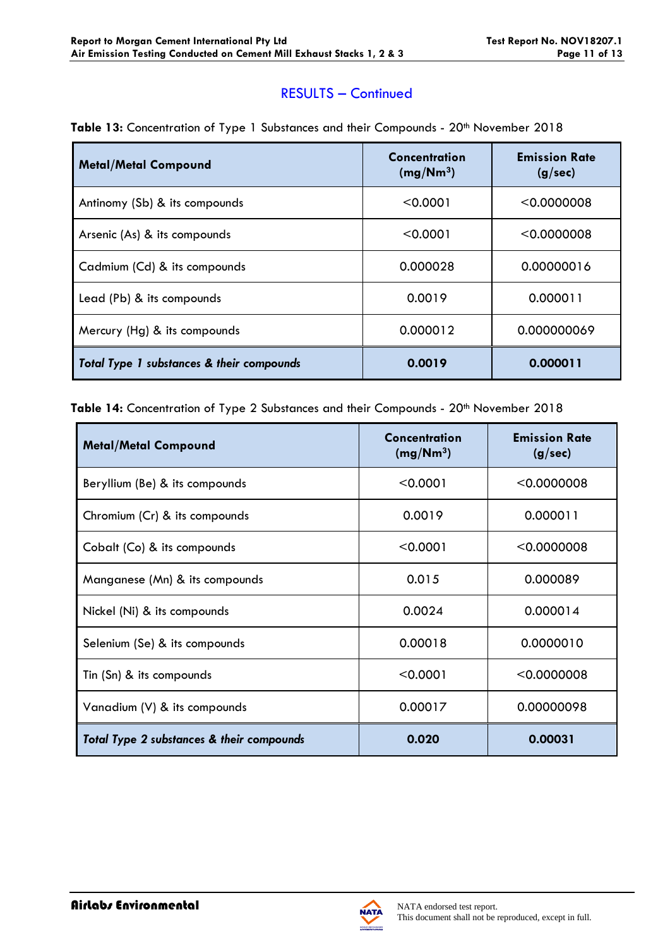### RESULTS – Continued

| <b>Metal/Metal Compound</b>               | Concentration<br>(mg/Nm <sup>3</sup> ) | <b>Emission Rate</b><br>(g/sec) |
|-------------------------------------------|----------------------------------------|---------------------------------|
| Antinomy (Sb) & its compounds             | < 0.0001                               | < 0.0000008                     |
| Arsenic (As) & its compounds              | < 0.0001                               | < 0.0000008                     |
| Cadmium (Cd) & its compounds              | 0.000028                               | 0.00000016                      |
| Lead (Pb) & its compounds                 | 0.0019                                 | 0.000011                        |
| Mercury (Hg) & its compounds              | 0.000012                               | 0.000000069                     |
| Total Type 1 substances & their compounds | 0.0019                                 | 0.000011                        |

### Table 13: Concentration of Type 1 Substances and their Compounds - 20<sup>th</sup> November 2018

Table 14: Concentration of Type 2 Substances and their Compounds - 20<sup>th</sup> November 2018

| <b>Metal/Metal Compound</b>               | Concentration<br>(mg/Nm <sup>3</sup> ) | <b>Emission Rate</b><br>(g/sec) |
|-------------------------------------------|----------------------------------------|---------------------------------|
| Beryllium (Be) & its compounds            | < 0.0001                               | $<$ 0.0000008                   |
| Chromium (Cr) & its compounds             | 0.0019                                 | 0.000011                        |
| Cobalt (Co) & its compounds               | < 0.0001                               | < 0.0000008                     |
| Manganese (Mn) & its compounds            | 0.015                                  | 0.000089                        |
| Nickel (Ni) & its compounds               | 0.0024                                 | 0.000014                        |
| Selenium (Se) & its compounds             | 0.00018                                | 0.0000010                       |
| Tin (Sn) & its compounds                  | < 0.0001                               | < 0.0000008                     |
| Vanadium (V) & its compounds              | 0.00017                                | 0.00000098                      |
| Total Type 2 substances & their compounds | 0.020                                  | 0.00031                         |



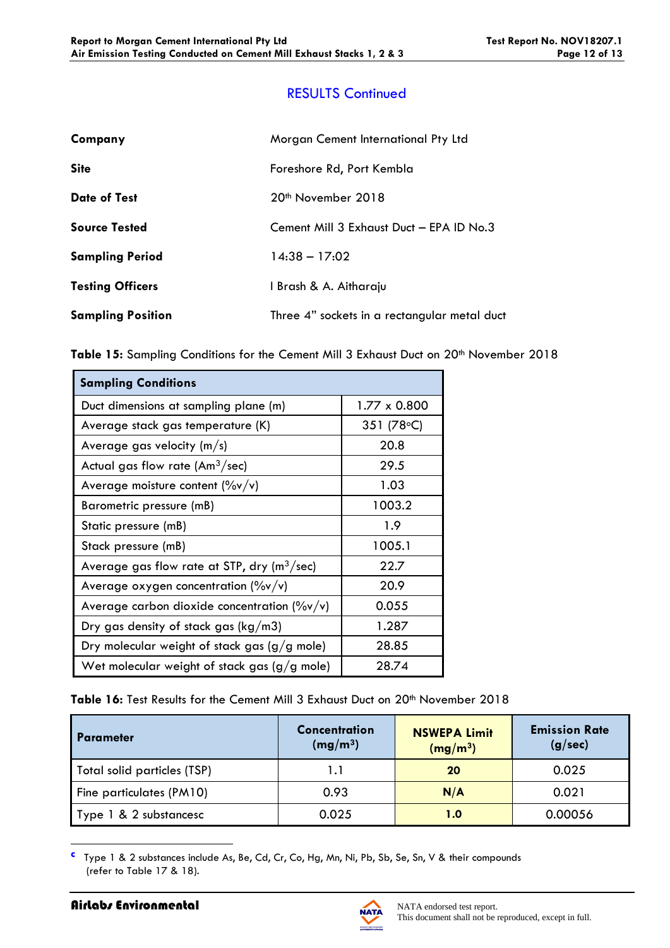# RESULTS Continued

| Company                  | Morgan Cement International Pty Ltd          |
|--------------------------|----------------------------------------------|
| <b>Site</b>              | Foreshore Rd, Port Kembla                    |
| <b>Date of Test</b>      | 20 <sup>th</sup> November 2018               |
| <b>Source Tested</b>     | Cement Mill 3 Exhaust Duct - EPA ID No.3     |
| <b>Sampling Period</b>   | $14:38 - 17:02$                              |
| <b>Testing Officers</b>  | I Brash & A. Aitharaju                       |
| <b>Sampling Position</b> | Three 4" sockets in a rectangular metal duct |

Table 15: Sampling Conditions for the Cement Mill 3 Exhaust Duct on 20<sup>th</sup> November 2018

| <b>Sampling Conditions</b>                                |              |
|-----------------------------------------------------------|--------------|
| Duct dimensions at sampling plane (m)                     | 1.77 x 0.800 |
| Average stack gas temperature (K)                         | 351 (78 °C)  |
| Average gas velocity $(m/s)$                              | 20.8         |
| Actual gas flow rate $(Am^3/sec)$                         | 29.5         |
| Average moisture content $(\%v/v)$                        | 1.03         |
| Barometric pressure (mB)                                  | 1003.2       |
| Static pressure (mB)                                      | 1.9          |
| Stack pressure (mB)                                       | 1005.1       |
| Average gas flow rate at STP, dry ( $m^3$ /sec)           | 22.7         |
| Average oxygen concentration $(\%v/v)$                    | 20.9         |
| Average carbon dioxide concentration ( $\frac{9}{9}$ v/v) | 0.055        |
| Dry gas density of stack gas ( $kg/m3$ )                  | 1.287        |
| Dry molecular weight of stack gas $(g/g$ mole)            | 28.85        |
| Wet molecular weight of stack gas $(g/g$ mole)            | 28.74        |

Table 16: Test Results for the Cement Mill 3 Exhaust Duct on 20<sup>th</sup> November 2018

| l Parameter                 | <b>Concentration</b><br>(mg/m <sup>3</sup> ) | <b>NSWEPA Limit</b><br>(mg/m <sup>3</sup> ) | <b>Emission Rate</b><br>(g/sec) |
|-----------------------------|----------------------------------------------|---------------------------------------------|---------------------------------|
| Total solid particles (TSP) | 1.1                                          | 20                                          | 0.025                           |
| Fine particulates (PM10)    | 0.93                                         | N/A                                         | 0.021                           |
| Type 1 & 2 substancesc      | 0.025                                        | 1.0                                         | 0.00056                         |

**c** Type 1 & 2 substances include As, Be, Cd, Cr, Co, Hg, Mn, Ni, Pb, Sb, Se, Sn, V & their compounds (refer to Table 17 & 18).

1